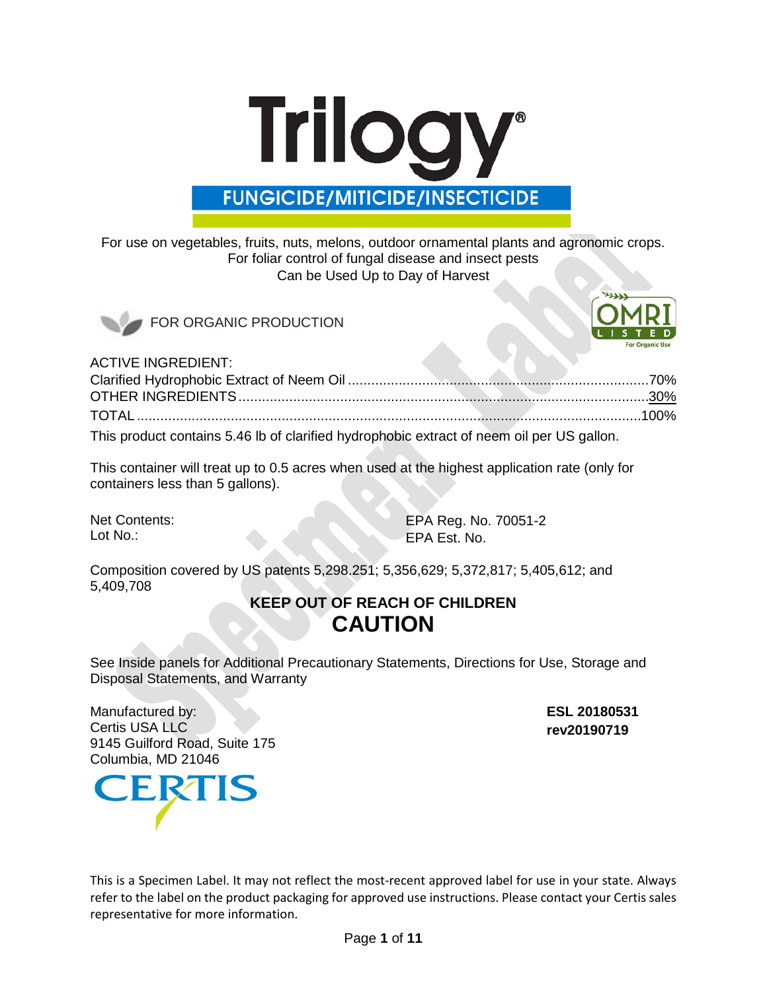# **Trilogy® FUNGICIDE/MITICIDE/INSECTICIDE**

For use on vegetables, fruits, nuts, melons, outdoor ornamental plants and agronomic crops. For foliar control of fungal disease and insect pests Can be Used Up to Day of Harvest





ACTIVE INGREDIENT:

| This product contains 5.46 lb of clarified hydrophobic extract of neem oil per US gallon. |  |
|-------------------------------------------------------------------------------------------|--|

This container will treat up to 0.5 acres when used at the highest application rate (only for containers less than 5 gallons).

Net Contents: Lot No.:

EPA Reg. No. 70051-2 EPA Est. No.

Composition covered by US patents 5,298.251; 5,356,629; 5,372,817; 5,405,612; and 5,409,708

# **KEEP OUT OF REACH OF CHILDREN CAUTION**

See Inside panels for Additional Precautionary Statements, Directions for Use, Storage and Disposal Statements, and Warranty

Manufactured by: Certis USA LLC 9145 Guilford Road, Suite 175 Columbia, MD 21046

**ESL 20180531 rev20190719**



This is a Specimen Label. It may not reflect the most-recent approved label for use in your state. Always refer to the label on the product packaging for approved use instructions. Please contact your Certis sales representative for more information.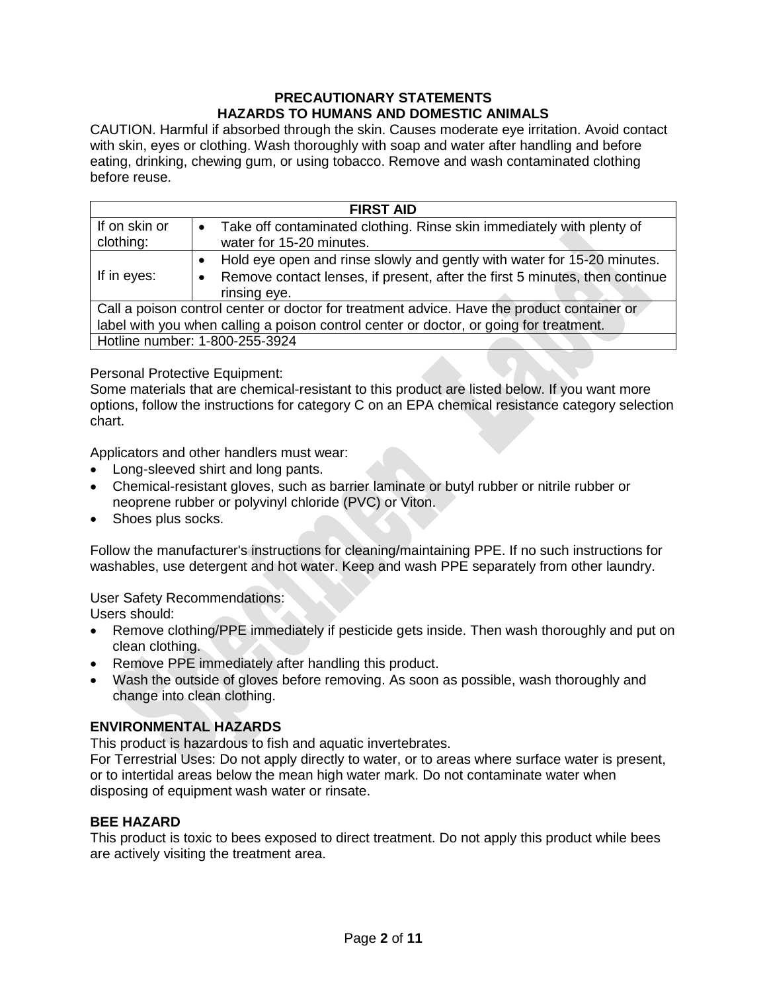# **PRECAUTIONARY STATEMENTS HAZARDS TO HUMANS AND DOMESTIC ANIMALS**

CAUTION. Harmful if absorbed through the skin. Causes moderate eye irritation. Avoid contact with skin, eyes or clothing. Wash thoroughly with soap and water after handling and before eating, drinking, chewing gum, or using tobacco. Remove and wash contaminated clothing before reuse.

| <b>FIRST AID</b>                                                                                                                                                                     |                                                                                                                                                                                  |  |
|--------------------------------------------------------------------------------------------------------------------------------------------------------------------------------------|----------------------------------------------------------------------------------------------------------------------------------------------------------------------------------|--|
| If on skin or<br>clothing:                                                                                                                                                           | Take off contaminated clothing. Rinse skin immediately with plenty of<br>$\bullet$<br>water for 15-20 minutes.                                                                   |  |
| If in eyes:                                                                                                                                                                          | Hold eye open and rinse slowly and gently with water for 15-20 minutes.<br>٠<br>Remove contact lenses, if present, after the first 5 minutes, then continue<br>٠<br>rinsing eye. |  |
| Call a poison control center or doctor for treatment advice. Have the product container or<br>label with you when calling a poison control center or doctor, or going for treatment. |                                                                                                                                                                                  |  |
|                                                                                                                                                                                      | Hotline number: 1-800-255-3924                                                                                                                                                   |  |

Personal Protective Equipment:

Some materials that are chemical-resistant to this product are listed below. If you want more options, follow the instructions for category C on an EPA chemical resistance category selection chart.

Applicators and other handlers must wear:

- Long-sleeved shirt and long pants.
- Chemical-resistant gloves, such as barrier laminate or butyl rubber or nitrile rubber or neoprene rubber or polyvinyl chloride (PVC) or Viton.
- Shoes plus socks.

Follow the manufacturer's instructions for cleaning/maintaining PPE. If no such instructions for washables, use detergent and hot water. Keep and wash PPE separately from other laundry.

User Safety Recommendations: Users should:

- Remove clothing/PPE immediately if pesticide gets inside. Then wash thoroughly and put on clean clothing.
- Remove PPE immediately after handling this product.
- Wash the outside of gloves before removing. As soon as possible, wash thoroughly and change into clean clothing.

### **ENVIRONMENTAL HAZARDS**

This product is hazardous to fish and aquatic invertebrates.

For Terrestrial Uses: Do not apply directly to water, or to areas where surface water is present, or to intertidal areas below the mean high water mark. Do not contaminate water when disposing of equipment wash water or rinsate.

#### **BEE HAZARD**

This product is toxic to bees exposed to direct treatment. Do not apply this product while bees are actively visiting the treatment area.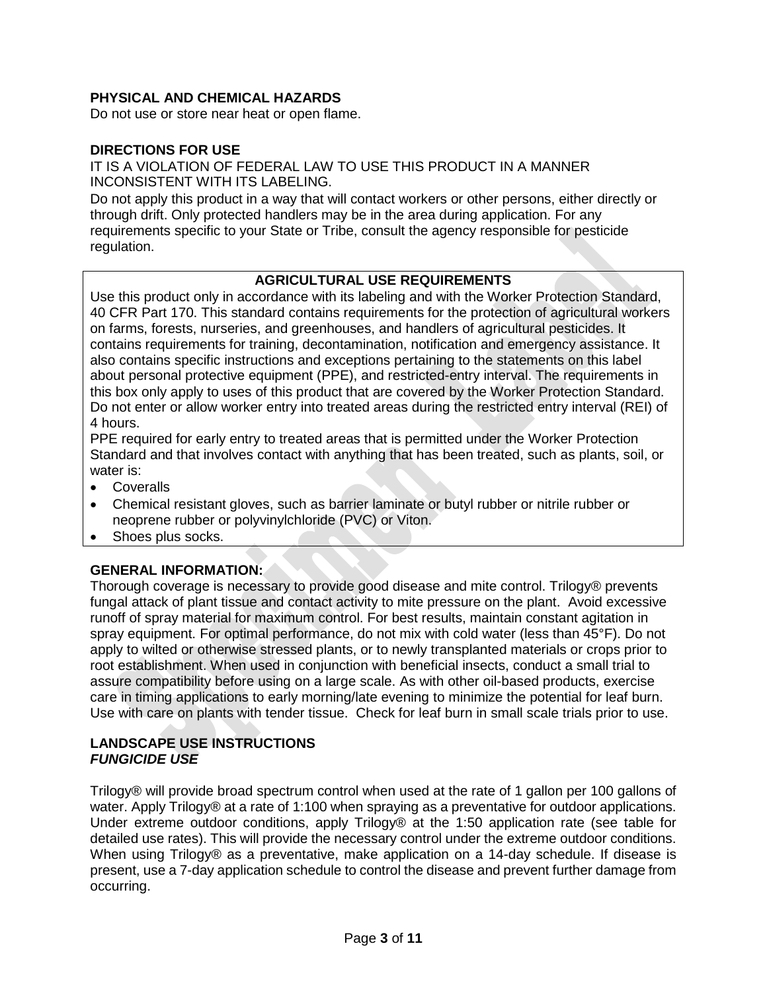# **PHYSICAL AND CHEMICAL HAZARDS**

Do not use or store near heat or open flame.

#### **DIRECTIONS FOR USE**

IT IS A VIOLATION OF FEDERAL LAW TO USE THIS PRODUCT IN A MANNER INCONSISTENT WITH ITS LABELING.

Do not apply this product in a way that will contact workers or other persons, either directly or through drift. Only protected handlers may be in the area during application. For any requirements specific to your State or Tribe, consult the agency responsible for pesticide regulation.

### **AGRICULTURAL USE REQUIREMENTS**

Use this product only in accordance with its labeling and with the Worker Protection Standard, 40 CFR Part 170. This standard contains requirements for the protection of agricultural workers on farms, forests, nurseries, and greenhouses, and handlers of agricultural pesticides. It contains requirements for training, decontamination, notification and emergency assistance. It also contains specific instructions and exceptions pertaining to the statements on this label about personal protective equipment (PPE), and restricted-entry interval. The requirements in this box only apply to uses of this product that are covered by the Worker Protection Standard. Do not enter or allow worker entry into treated areas during the restricted entry interval (REI) of 4 hours.

PPE required for early entry to treated areas that is permitted under the Worker Protection Standard and that involves contact with anything that has been treated, such as plants, soil, or water is:

- Coveralls
- Chemical resistant gloves, such as barrier laminate or butyl rubber or nitrile rubber or neoprene rubber or polyvinylchloride (PVC) or Viton.
- Shoes plus socks.

### **GENERAL INFORMATION:**

Thorough coverage is necessary to provide good disease and mite control. Trilogy® prevents fungal attack of plant tissue and contact activity to mite pressure on the plant. Avoid excessive runoff of spray material for maximum control. For best results, maintain constant agitation in spray equipment. For optimal performance, do not mix with cold water (less than 45°F). Do not apply to wilted or otherwise stressed plants, or to newly transplanted materials or crops prior to root establishment. When used in conjunction with beneficial insects, conduct a small trial to assure compatibility before using on a large scale. As with other oil-based products, exercise care in timing applications to early morning/late evening to minimize the potential for leaf burn. Use with care on plants with tender tissue. Check for leaf burn in small scale trials prior to use.

## **LANDSCAPE USE INSTRUCTIONS** *FUNGICIDE USE*

Trilogy® will provide broad spectrum control when used at the rate of 1 gallon per 100 gallons of water. Apply Trilogy® at a rate of 1:100 when spraying as a preventative for outdoor applications. Under extreme outdoor conditions, apply Trilogy® at the 1:50 application rate (see table for detailed use rates). This will provide the necessary control under the extreme outdoor conditions. When using Trilogy® as a preventative, make application on a 14-day schedule. If disease is present, use a 7-day application schedule to control the disease and prevent further damage from occurring.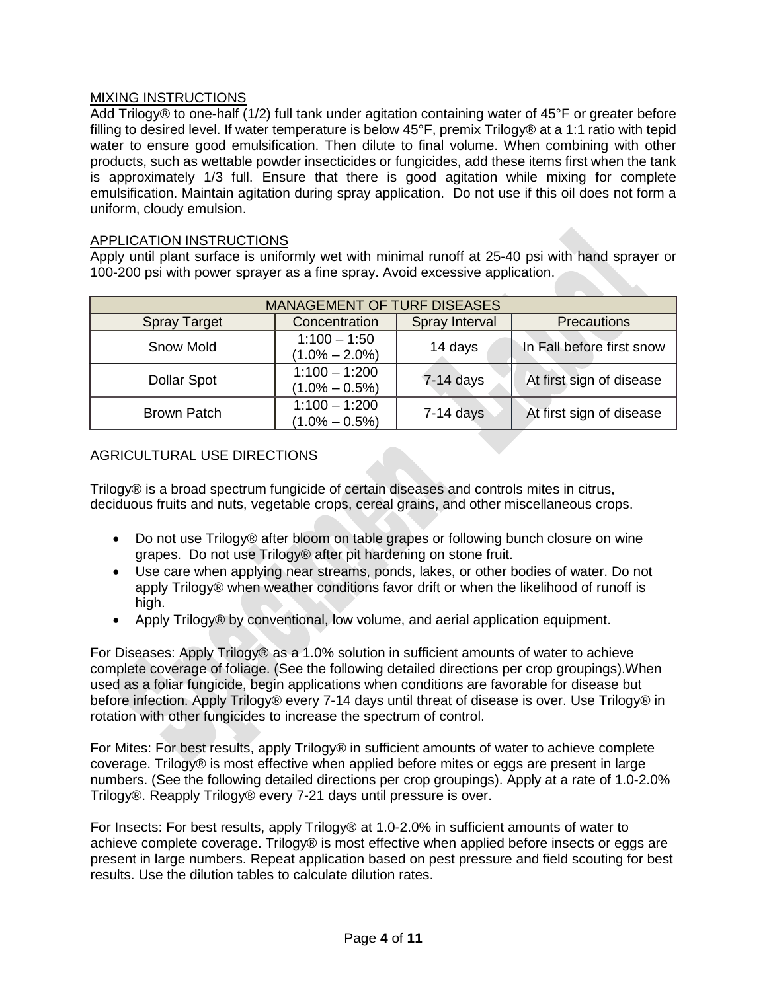## MIXING INSTRUCTIONS

Add Trilogy® to one-half (1/2) full tank under agitation containing water of 45°F or greater before filling to desired level. If water temperature is below 45°F, premix Trilogy® at a 1:1 ratio with tepid water to ensure good emulsification. Then dilute to final volume. When combining with other products, such as wettable powder insecticides or fungicides, add these items first when the tank is approximately 1/3 full. Ensure that there is good agitation while mixing for complete emulsification. Maintain agitation during spray application. Do not use if this oil does not form a uniform, cloudy emulsion.

#### APPLICATION INSTRUCTIONS

Apply until plant surface is uniformly wet with minimal runoff at 25-40 psi with hand sprayer or 100-200 psi with power sprayer as a fine spray. Avoid excessive application.

| <b>MANAGEMENT OF TURF DISEASES</b> |                                      |                |                           |
|------------------------------------|--------------------------------------|----------------|---------------------------|
| <b>Spray Target</b>                | Concentration                        | Spray Interval | Precautions               |
| Snow Mold                          | $1:100 - 1:50$<br>$(1.0\% - 2.0\%)$  | 14 days        | In Fall before first snow |
| <b>Dollar Spot</b>                 | $1:100 - 1:200$<br>$(1.0\% - 0.5\%)$ | $7-14$ days    | At first sign of disease  |
| <b>Brown Patch</b>                 | $1:100 - 1:200$<br>$(1.0\% - 0.5\%)$ | $7-14$ days    | At first sign of disease  |

#### AGRICULTURAL USE DIRECTIONS

Trilogy® is a broad spectrum fungicide of certain diseases and controls mites in citrus, deciduous fruits and nuts, vegetable crops, cereal grains, and other miscellaneous crops.

- Do not use Trilogy® after bloom on table grapes or following bunch closure on wine grapes. Do not use Trilogy® after pit hardening on stone fruit.
- Use care when applying near streams, ponds, lakes, or other bodies of water. Do not apply Trilogy® when weather conditions favor drift or when the likelihood of runoff is high.
- Apply Trilogy® by conventional, low volume, and aerial application equipment.

For Diseases: Apply Trilogy® as a 1.0% solution in sufficient amounts of water to achieve complete coverage of foliage. (See the following detailed directions per crop groupings).When used as a foliar fungicide, begin applications when conditions are favorable for disease but before infection. Apply Trilogy® every 7-14 days until threat of disease is over. Use Trilogy® in rotation with other fungicides to increase the spectrum of control.

For Mites: For best results, apply Trilogy® in sufficient amounts of water to achieve complete coverage. Trilogy® is most effective when applied before mites or eggs are present in large numbers. (See the following detailed directions per crop groupings). Apply at a rate of 1.0-2.0% Trilogy®. Reapply Trilogy® every 7-21 days until pressure is over.

For Insects: For best results, apply Trilogy® at 1.0-2.0% in sufficient amounts of water to achieve complete coverage. Trilogy® is most effective when applied before insects or eggs are present in large numbers. Repeat application based on pest pressure and field scouting for best results. Use the dilution tables to calculate dilution rates.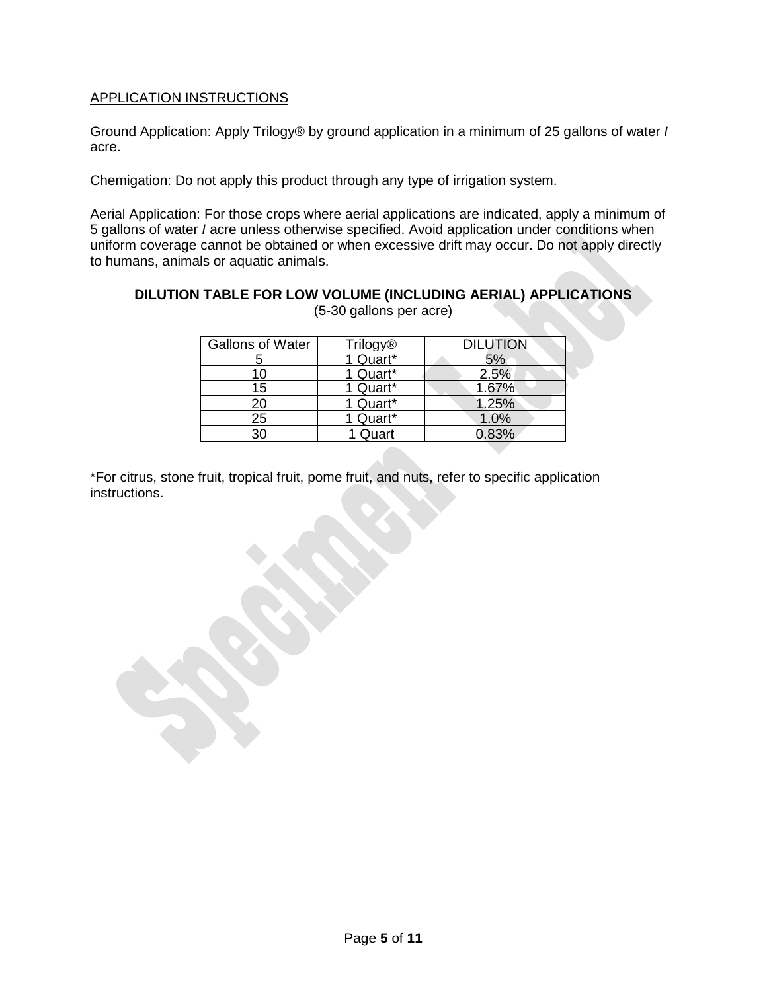# APPLICATION INSTRUCTIONS

Ground Application: Apply Trilogy® by ground application in a minimum of 25 gallons of water *I*  acre.

Chemigation: Do not apply this product through any type of irrigation system.

Aerial Application: For those crops where aerial applications are indicated, apply a minimum of 5 gallons of water *I* acre unless otherwise specified. Avoid application under conditions when uniform coverage cannot be obtained or when excessive drift may occur. Do not apply directly to humans, animals or aquatic animals.

**DILUTION TABLE FOR LOW VOLUME (INCLUDING AERIAL) APPLICATIONS**  (5-30 gallons per acre)

| <b>Gallons of Water</b> | <b>Trilogy®</b> | <b>DILUTION</b> |
|-------------------------|-----------------|-----------------|
|                         | 1 Quart*        | 5%              |
| 10                      | 1 Quart*        | 2.5%            |
| 15                      | 1 Quart*        | 1.67%           |
| 20                      | 1 Quart*        | 1.25%           |
| $\overline{25}$         | 1 Quart*        | 1.0%            |
| 30                      | Quart           | $0.83\%$        |

\*For citrus, stone fruit, tropical fruit, pome fruit, and nuts, refer to specific application instructions.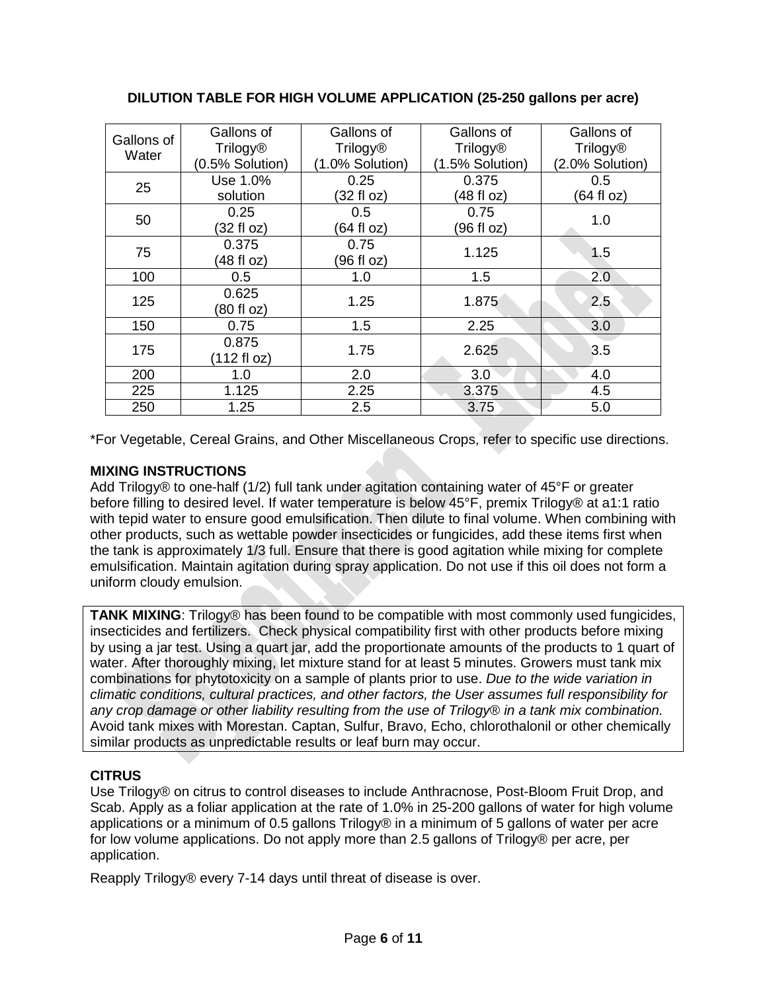| Gallons of<br>Water | Gallons of<br><b>Trilogy®</b><br>(0.5% Solution) | Gallons of<br><b>Trilogy®</b><br>(1.0% Solution) | Gallons of<br><b>Trilogy®</b><br>(1.5% Solution) | Gallons of<br><b>Trilogy®</b><br>(2.0% Solution) |
|---------------------|--------------------------------------------------|--------------------------------------------------|--------------------------------------------------|--------------------------------------------------|
| 25                  | Use 1.0%<br>solution                             | 0.25<br>(32 fl oz)                               | 0.375<br>(48 fl oz)                              | 0.5<br>(64 fl oz)                                |
| 50                  | 0.25<br>(32 fl oz)                               | 0.5<br>(64 fl oz)                                | 0.75<br>(96 fl oz)                               | 1.0                                              |
| 75                  | 0.375<br>(48 fl oz)                              | 0.75<br>(96 fl oz)                               | 1.125                                            | 1.5                                              |
| 100                 | 0.5                                              | 1.0                                              | 1.5                                              | 2.0                                              |
| 125                 | 0.625<br>(80 fl oz)                              | 1.25                                             | 1.875                                            | 2.5                                              |
| 150                 | 0.75                                             | 1.5                                              | 2.25                                             | 3.0                                              |
| 175                 | 0.875<br>(112 fl oz)                             | 1.75                                             | 2.625                                            | 3.5                                              |
| 200                 | 1.0                                              | 2.0                                              | 3.0                                              | 4.0                                              |
| 225                 | 1.125                                            | 2.25                                             | 3.375                                            | 4.5                                              |
| 250                 | 1.25                                             | 2.5                                              | 3.75                                             | 5.0                                              |

# **DILUTION TABLE FOR HIGH VOLUME APPLICATION (25-250 gallons per acre)**

\*For Vegetable, Cereal Grains, and Other Miscellaneous Crops, refer to specific use directions.

# **MIXING INSTRUCTIONS**

Add Trilogy® to one-half (1/2) full tank under agitation containing water of 45°F or greater before filling to desired level. If water temperature is below 45°F, premix Trilogy® at a1:1 ratio with tepid water to ensure good emulsification. Then dilute to final volume. When combining with other products, such as wettable powder insecticides or fungicides, add these items first when the tank is approximately 1/3 full. Ensure that there is good agitation while mixing for complete emulsification. Maintain agitation during spray application. Do not use if this oil does not form a uniform cloudy emulsion.

**TANK MIXING**: Trilogy® has been found to be compatible with most commonly used fungicides, insecticides and fertilizers. Check physical compatibility first with other products before mixing by using a jar test. Using a quart jar, add the proportionate amounts of the products to 1 quart of water. After thoroughly mixing, let mixture stand for at least 5 minutes. Growers must tank mix combinations for phytotoxicity on a sample of plants prior to use. *Due to the wide variation in climatic conditions, cultural practices, and other factors, the User assumes full responsibility for any crop damage or other liability resulting from the use of Trilogy® in a tank mix combination.*  Avoid tank mixes with Morestan. Captan, Sulfur, Bravo, Echo, chlorothalonil or other chemically similar products as unpredictable results or leaf burn may occur.

# **CITRUS**

Use Trilogy® on citrus to control diseases to include Anthracnose, Post-Bloom Fruit Drop, and Scab. Apply as a foliar application at the rate of 1.0% in 25-200 gallons of water for high volume applications or a minimum of 0.5 gallons Trilogy® in a minimum of 5 gallons of water per acre for low volume applications. Do not apply more than 2.5 gallons of Trilogy® per acre, per application.

Reapply Trilogy® every 7-14 days until threat of disease is over.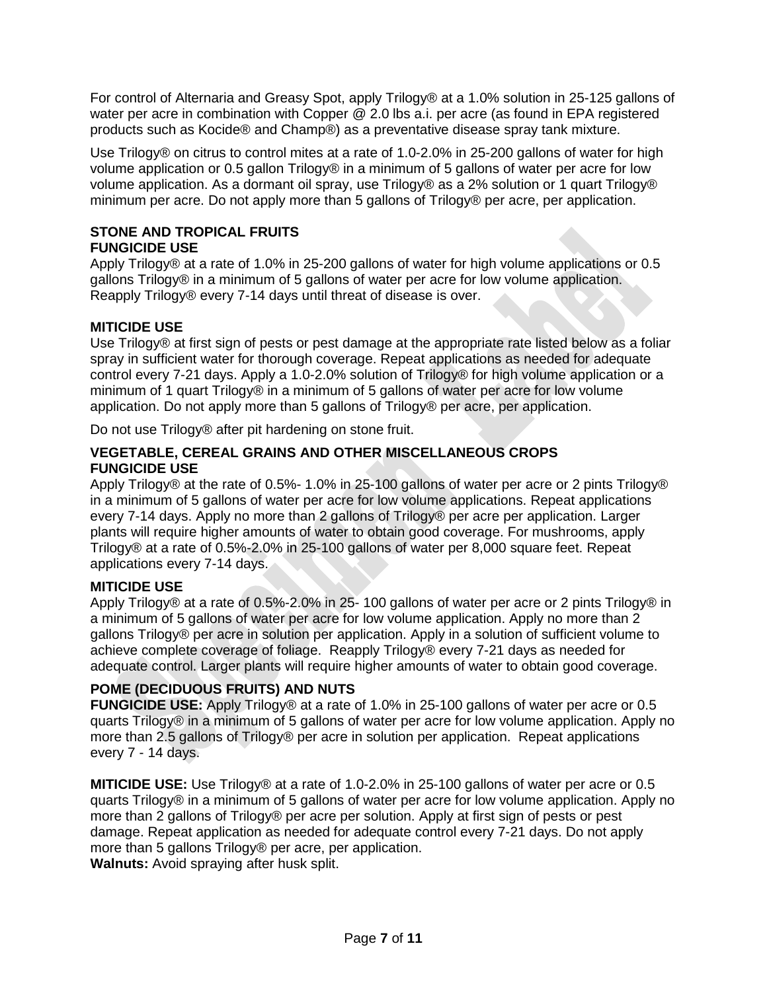For control of Alternaria and Greasy Spot, apply Trilogy® at a 1.0% solution in 25-125 gallons of water per acre in combination with Copper @ 2.0 lbs a.i. per acre (as found in EPA registered products such as Kocide® and Champ®) as a preventative disease spray tank mixture.

Use Trilogy<sup>®</sup> on citrus to control mites at a rate of 1.0-2.0% in 25-200 gallons of water for high volume application or 0.5 gallon Trilogy® in a minimum of 5 gallons of water per acre for low volume application. As a dormant oil spray, use Trilogy® as a 2% solution or 1 quart Trilogy® minimum per acre. Do not apply more than 5 gallons of Trilogy® per acre, per application.

### **STONE AND TROPICAL FRUITS FUNGICIDE USE**

Apply Trilogy® at a rate of 1.0% in 25-200 gallons of water for high volume applications or 0.5 gallons Trilogy® in a minimum of 5 gallons of water per acre for low volume application. Reapply Trilogy® every 7-14 days until threat of disease is over.

# **MITICIDE USE**

Use Trilogy® at first sign of pests or pest damage at the appropriate rate listed below as a foliar spray in sufficient water for thorough coverage. Repeat applications as needed for adequate control every 7-21 days. Apply a 1.0-2.0% solution of Trilogy® for high volume application or a minimum of 1 quart Trilogy® in a minimum of 5 gallons of water per acre for low volume application. Do not apply more than 5 gallons of Trilogy® per acre, per application.

Do not use Trilogy® after pit hardening on stone fruit.

## **VEGETABLE, CEREAL GRAINS AND OTHER MISCELLANEOUS CROPS FUNGICIDE USE**

Apply Trilogy® at the rate of 0.5%- 1.0% in 25-100 gallons of water per acre or 2 pints Trilogy® in a minimum of 5 gallons of water per acre for low volume applications. Repeat applications every 7-14 days. Apply no more than 2 gallons of Trilogy® per acre per application. Larger plants will require higher amounts of water to obtain good coverage. For mushrooms, apply Trilogy® at a rate of 0.5%-2.0% in 25-100 gallons of water per 8,000 square feet. Repeat applications every 7-14 days.

# **MITICIDE USE**

Apply Trilogy® at a rate of 0.5%-2.0% in 25- 100 gallons of water per acre or 2 pints Trilogy® in a minimum of 5 gallons of water per acre for low volume application. Apply no more than 2 gallons Trilogy® per acre in solution per application. Apply in a solution of sufficient volume to achieve complete coverage of foliage. Reapply Trilogy® every 7-21 days as needed for adequate control. Larger plants will require higher amounts of water to obtain good coverage.

# **POME (DECIDUOUS FRUITS) AND NUTS**

**FUNGICIDE USE:** Apply Trilogy® at a rate of 1.0% in 25-100 gallons of water per acre or 0.5 quarts Trilogy® in a minimum of 5 gallons of water per acre for low volume application. Apply no more than 2.5 gallons of Trilogy® per acre in solution per application. Repeat applications every 7 - 14 days.

**MITICIDE USE:** Use Trilogy® at a rate of 1.0-2.0% in 25-100 gallons of water per acre or 0.5 quarts Trilogy® in a minimum of 5 gallons of water per acre for low volume application. Apply no more than 2 gallons of Trilogy® per acre per solution. Apply at first sign of pests or pest damage. Repeat application as needed for adequate control every 7-21 days. Do not apply more than 5 gallons Trilogy® per acre, per application.

**Walnuts:** Avoid spraying after husk split.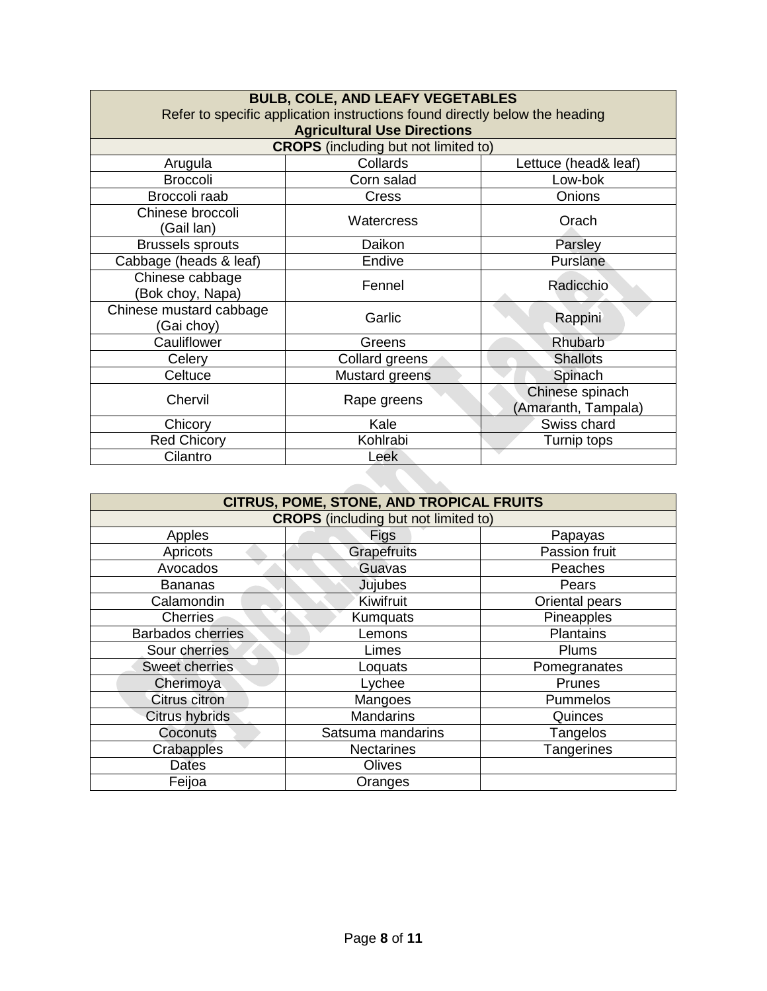| <b>BULB, COLE, AND LEAFY VEGETABLES</b>                                     |                                             |                                        |  |
|-----------------------------------------------------------------------------|---------------------------------------------|----------------------------------------|--|
| Refer to specific application instructions found directly below the heading |                                             |                                        |  |
|                                                                             | <b>Agricultural Use Directions</b>          |                                        |  |
|                                                                             | <b>CROPS</b> (including but not limited to) |                                        |  |
| Arugula                                                                     | Collards                                    | Lettuce (head& leaf)                   |  |
| <b>Broccoli</b>                                                             | Corn salad                                  | Low-bok                                |  |
| Broccoli raab                                                               | <b>Cress</b>                                | Onions                                 |  |
| Chinese broccoli<br>(Gail Ian)                                              | Watercress                                  | Orach                                  |  |
| <b>Brussels sprouts</b>                                                     | Daikon                                      | Parsley                                |  |
| Cabbage (heads & leaf)                                                      | Endive                                      | Purslane                               |  |
| Chinese cabbage<br>(Bok choy, Napa)                                         | Fennel                                      | Radicchio                              |  |
| Chinese mustard cabbage<br>(Gai choy)                                       | Garlic                                      | Rappini                                |  |
| Cauliflower                                                                 | Greens                                      | Rhubarb                                |  |
| Celery                                                                      | Collard greens                              | <b>Shallots</b>                        |  |
| Celtuce                                                                     | Mustard greens                              | Spinach                                |  |
| Chervil                                                                     | Rape greens                                 | Chinese spinach<br>(Amaranth, Tampala) |  |
| Chicory                                                                     | Kale                                        | Swiss chard                            |  |
| <b>Red Chicory</b>                                                          | Kohlrabi                                    | Turnip tops                            |  |
| Cilantro                                                                    | Leek                                        |                                        |  |

| <b>CITRUS, POME, STONE, AND TROPICAL FRUITS</b> |                   |                  |  |
|-------------------------------------------------|-------------------|------------------|--|
| <b>CROPS</b> (including but not limited to)     |                   |                  |  |
| Apples                                          | Figs              | Papayas          |  |
| Apricots                                        | Grapefruits       | Passion fruit    |  |
| Avocados                                        | Guavas            | Peaches          |  |
| <b>Bananas</b>                                  | Jujubes           | Pears            |  |
| Calamondin                                      | Kiwifruit         | Oriental pears   |  |
| <b>Cherries</b>                                 | Kumquats          | Pineapples       |  |
| <b>Barbados cherries</b>                        | Lemons            | <b>Plantains</b> |  |
| Sour cherries                                   | Limes             | Plums            |  |
| Sweet cherries                                  | Loquats           | Pomegranates     |  |
| Cherimoya                                       | Lychee            | Prunes           |  |
| Citrus citron                                   | Mangoes           | Pummelos         |  |
| Citrus hybrids                                  | <b>Mandarins</b>  | Quinces          |  |
| Coconuts                                        | Satsuma mandarins | Tangelos         |  |
| Crabapples                                      | <b>Nectarines</b> | Tangerines       |  |
| <b>Dates</b>                                    | Olives            |                  |  |
| Feijoa                                          | Oranges           |                  |  |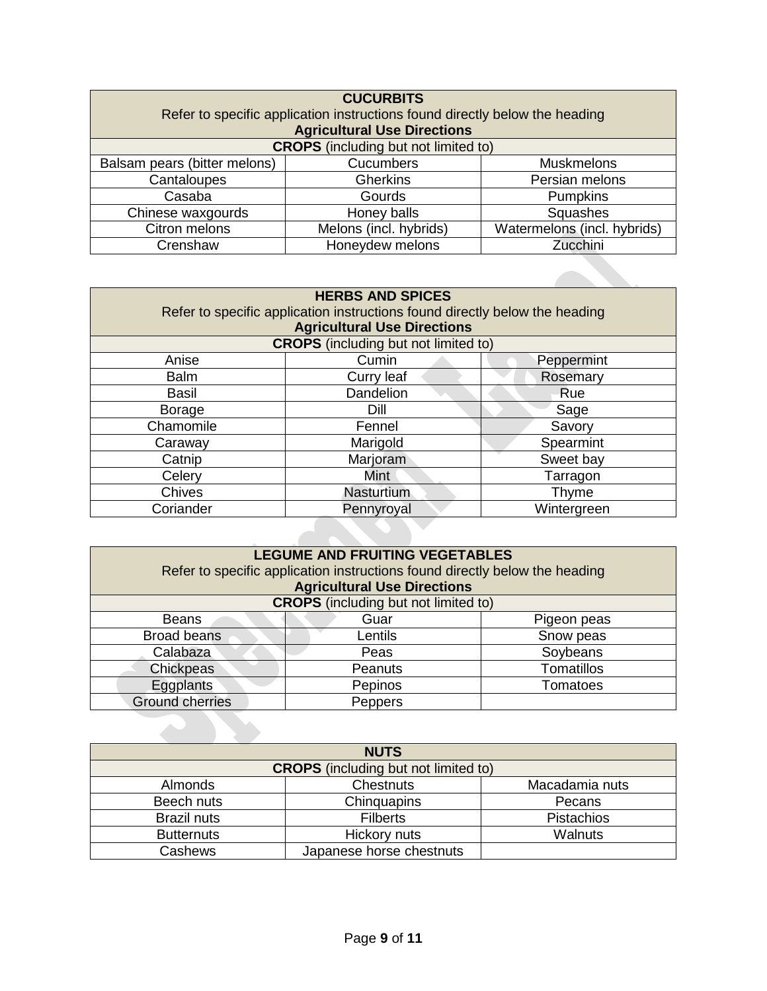| <b>CUCURBITS</b>                                                            |                                    |                             |  |
|-----------------------------------------------------------------------------|------------------------------------|-----------------------------|--|
| Refer to specific application instructions found directly below the heading |                                    |                             |  |
|                                                                             | <b>Agricultural Use Directions</b> |                             |  |
| <b>CROPS</b> (including but not limited to)                                 |                                    |                             |  |
| Balsam pears (bitter melons)                                                | Cucumbers                          | <b>Muskmelons</b>           |  |
| Cantaloupes                                                                 | <b>Gherkins</b>                    | Persian melons              |  |
| Casaba                                                                      | Gourds                             | Pumpkins                    |  |
| Chinese waxgourds                                                           | Honey balls                        | Squashes                    |  |
| Citron melons                                                               | Melons (incl. hybrids)             | Watermelons (incl. hybrids) |  |
| Crenshaw                                                                    | Honeydew melons                    | Zucchini                    |  |

| <b>HERBS AND SPICES</b> |                                                                             |             |
|-------------------------|-----------------------------------------------------------------------------|-------------|
|                         | Refer to specific application instructions found directly below the heading |             |
|                         | <b>Agricultural Use Directions</b>                                          |             |
|                         | <b>CROPS</b> (including but not limited to)                                 |             |
| Anise                   | Cumin                                                                       | Peppermint  |
| <b>Balm</b>             | Curry leaf                                                                  | Rosemary    |
| <b>Basil</b>            | Dandelion                                                                   | Rue         |
| <b>Borage</b>           | Dill                                                                        | Sage        |
| Chamomile               | Fennel                                                                      | Savory      |
| Caraway                 | Marigold                                                                    | Spearmint   |
| Catnip                  | Marjoram                                                                    | Sweet bay   |
| Celery                  | Mint                                                                        | Tarragon    |
| <b>Chives</b>           | <b>Nasturtium</b>                                                           | Thyme       |
| Coriander               | Pennyroyal                                                                  | Wintergreen |
|                         |                                                                             |             |
|                         |                                                                             |             |

| <b>LEGUME AND FRUITING VEGETABLES</b> |                                                                             |                   |  |
|---------------------------------------|-----------------------------------------------------------------------------|-------------------|--|
|                                       | Refer to specific application instructions found directly below the heading |                   |  |
|                                       | <b>Agricultural Use Directions</b>                                          |                   |  |
|                                       | <b>CROPS</b> (including but not limited to)                                 |                   |  |
| <b>Beans</b>                          | Guar                                                                        | Pigeon peas       |  |
| <b>Broad beans</b>                    | Lentils                                                                     | Snow peas         |  |
| Calabaza                              | Peas                                                                        | Soybeans          |  |
| Chickpeas                             | Peanuts                                                                     | <b>Tomatillos</b> |  |
| Eggplants                             | Pepinos                                                                     | Tomatoes          |  |
| <b>Ground cherries</b>                | Peppers                                                                     |                   |  |
|                                       |                                                                             |                   |  |
|                                       |                                                                             |                   |  |

| <b>NUTS</b>        |                                             |                   |  |
|--------------------|---------------------------------------------|-------------------|--|
|                    | <b>CROPS</b> (including but not limited to) |                   |  |
| <b>Almonds</b>     | <b>Chestnuts</b>                            | Macadamia nuts    |  |
| Beech nuts         | Chinquapins                                 | Pecans            |  |
| <b>Brazil nuts</b> | <b>Filberts</b>                             | <b>Pistachios</b> |  |
| <b>Butternuts</b>  | Hickory nuts                                | <b>Walnuts</b>    |  |
| Cashews            | Japanese horse chestnuts                    |                   |  |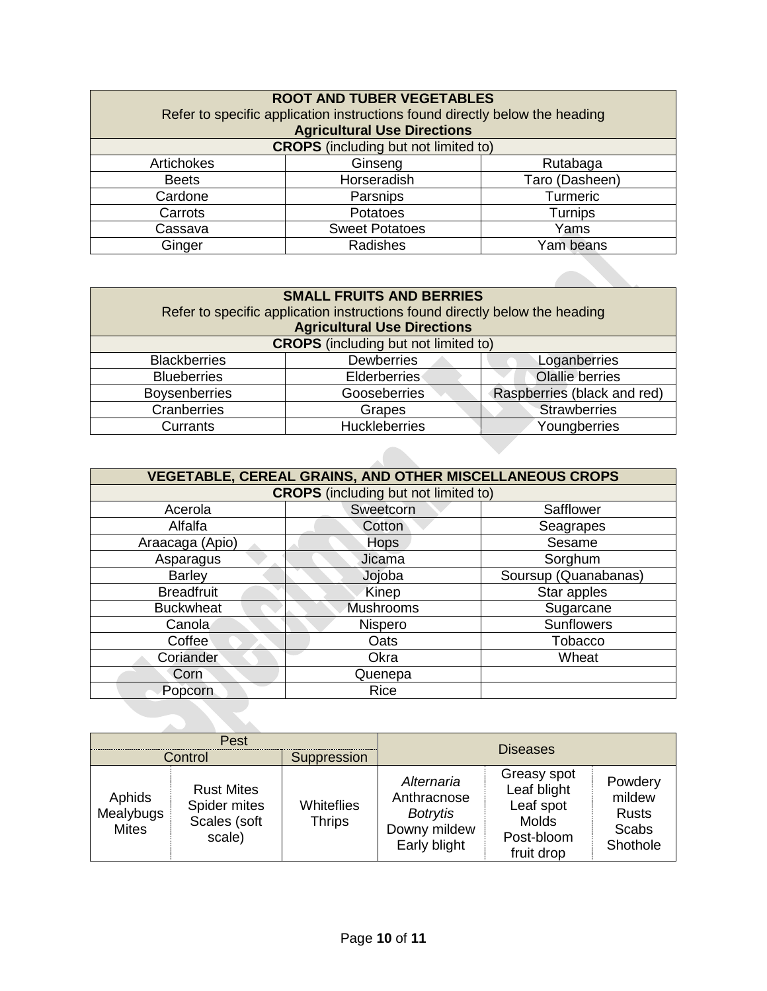| <b>ROOT AND TUBER VEGETABLES</b>                                            |                                    |                |
|-----------------------------------------------------------------------------|------------------------------------|----------------|
| Refer to specific application instructions found directly below the heading |                                    |                |
|                                                                             | <b>Agricultural Use Directions</b> |                |
| <b>CROPS</b> (including but not limited to)                                 |                                    |                |
| Artichokes                                                                  | Ginseng                            | Rutabaga       |
| <b>Beets</b>                                                                | Horseradish                        | Taro (Dasheen) |
| Cardone                                                                     | Parsnips                           | Turmeric       |
| Carrots                                                                     | Potatoes                           | Turnips        |
| Cassava                                                                     | <b>Sweet Potatoes</b>              | Yams           |
| Ginger                                                                      | Radishes                           | Yam beans      |

| <b>SMALL FRUITS AND BERRIES</b><br>Refer to specific application instructions found directly below the heading<br><b>Agricultural Use Directions</b> |                                      |                             |  |  |  |  |
|------------------------------------------------------------------------------------------------------------------------------------------------------|--------------------------------------|-----------------------------|--|--|--|--|
| <b>CROPS</b> (including but not limited to)                                                                                                          |                                      |                             |  |  |  |  |
| <b>Blackberries</b>                                                                                                                                  | <b>Dewberries</b><br>Loganberries    |                             |  |  |  |  |
| <b>Blueberries</b>                                                                                                                                   | Elderberries                         | Olallie berries             |  |  |  |  |
| <b>Boysenberries</b>                                                                                                                                 | Gooseberries                         | Raspberries (black and red) |  |  |  |  |
| Cranberries                                                                                                                                          | Grapes                               | <b>Strawberries</b>         |  |  |  |  |
| Currants                                                                                                                                             | <b>Huckleberries</b><br>Youngberries |                             |  |  |  |  |

| <b>VEGETABLE, CEREAL GRAINS, AND OTHER MISCELLANEOUS CROPS</b> |                     |                      |  |  |  |  |
|----------------------------------------------------------------|---------------------|----------------------|--|--|--|--|
| <b>CROPS</b> (including but not limited to)                    |                     |                      |  |  |  |  |
| Acerola                                                        | Sweetcorn           | Safflower            |  |  |  |  |
| Alfalfa                                                        | Cotton<br>Seagrapes |                      |  |  |  |  |
| Araacaga (Apio)                                                | <b>Hops</b>         | Sesame               |  |  |  |  |
| Asparagus                                                      | Jicama              | Sorghum              |  |  |  |  |
| <b>Barley</b>                                                  | Jojoba              | Soursup (Quanabanas) |  |  |  |  |
| <b>Breadfruit</b>                                              | Kinep               | Star apples          |  |  |  |  |
| <b>Buckwheat</b>                                               | Mushrooms           | Sugarcane            |  |  |  |  |
| Canola                                                         | <b>Nispero</b>      | <b>Sunflowers</b>    |  |  |  |  |
| Coffee                                                         | Oats                | Tobacco              |  |  |  |  |
| Coriander                                                      | Okra                | Wheat                |  |  |  |  |
| Corn                                                           | Quenepa             |                      |  |  |  |  |
| Popcorn                                                        | <b>Rice</b>         |                      |  |  |  |  |
|                                                                |                     |                      |  |  |  |  |
|                                                                |                     |                      |  |  |  |  |

| Pest                                |                                                             |                             |                                                                              |                                                                                     |                                                               |
|-------------------------------------|-------------------------------------------------------------|-----------------------------|------------------------------------------------------------------------------|-------------------------------------------------------------------------------------|---------------------------------------------------------------|
| Control                             |                                                             | Suppression                 | <b>Diseases</b>                                                              |                                                                                     |                                                               |
| Aphids<br>Mealybugs<br><b>Mites</b> | <b>Rust Mites</b><br>Spider mites<br>Scales (soft<br>scale) | Whiteflies<br><b>Thrips</b> | Alternaria<br>Anthracnose<br><b>Botrytis</b><br>Downy mildew<br>Early blight | Greasy spot<br>Leaf blight<br>Leaf spot<br><b>Molds</b><br>Post-bloom<br>fruit drop | Powdery<br>mildew<br><b>Rusts</b><br><b>Scabs</b><br>Shothole |